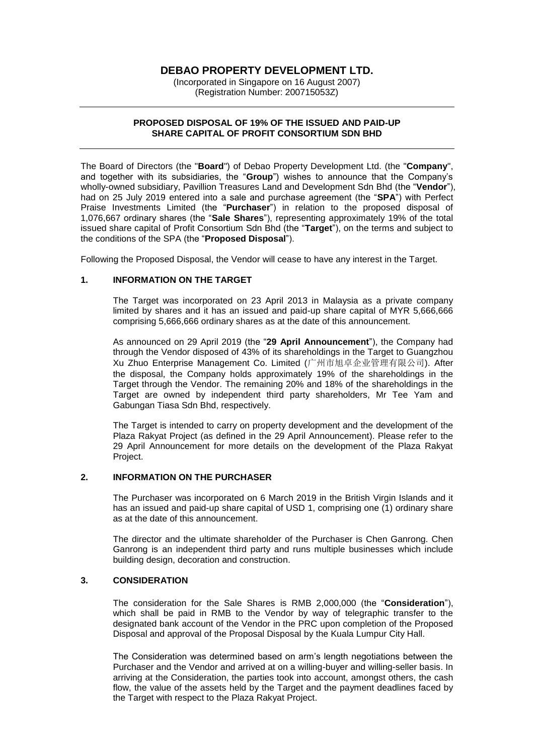# **DEBAO PROPERTY DEVELOPMENT LTD.**

(Incorporated in Singapore on 16 August 2007) (Registration Number: 200715053Z)

#### **PROPOSED DISPOSAL OF 19% OF THE ISSUED AND PAID-UP SHARE CAPITAL OF PROFIT CONSORTIUM SDN BHD**

The Board of Directors (the "**Board**") of Debao Property Development Ltd. (the "**Company**", and together with its subsidiaries, the "**Group**") wishes to announce that the Company's wholly-owned subsidiary, Pavillion Treasures Land and Development Sdn Bhd (the "**Vendor**"), had on 25 July 2019 entered into a sale and purchase agreement (the "**SPA**") with Perfect Praise Investments Limited (the "**Purchaser**") in relation to the proposed disposal of 1,076,667 ordinary shares (the "**Sale Shares**"), representing approximately 19% of the total issued share capital of Profit Consortium Sdn Bhd (the "**Target**"), on the terms and subject to the conditions of the SPA (the "**Proposed Disposal**").

Following the Proposed Disposal, the Vendor will cease to have any interest in the Target.

## **1. INFORMATION ON THE TARGET**

The Target was incorporated on 23 April 2013 in Malaysia as a private company limited by shares and it has an issued and paid-up share capital of MYR 5,666,666 comprising 5,666,666 ordinary shares as at the date of this announcement.

As announced on 29 April 2019 (the "**29 April Announcement**"), the Company had through the Vendor disposed of 43% of its shareholdings in the Target to Guangzhou Xu Zhuo Enterprise Management Co. Limited (广州市旭卓企业管理有限公司). After the disposal, the Company holds approximately 19% of the shareholdings in the Target through the Vendor. The remaining 20% and 18% of the shareholdings in the Target are owned by independent third party shareholders, Mr Tee Yam and Gabungan Tiasa Sdn Bhd, respectively.

The Target is intended to carry on property development and the development of the Plaza Rakyat Project (as defined in the 29 April Announcement). Please refer to the 29 April Announcement for more details on the development of the Plaza Rakyat Project.

## **2. INFORMATION ON THE PURCHASER**

The Purchaser was incorporated on 6 March 2019 in the British Virgin Islands and it has an issued and paid-up share capital of USD 1, comprising one (1) ordinary share as at the date of this announcement.

The director and the ultimate shareholder of the Purchaser is Chen Ganrong. Chen Ganrong is an independent third party and runs multiple businesses which include building design, decoration and construction.

#### **3. CONSIDERATION**

The consideration for the Sale Shares is RMB 2,000,000 (the "**Consideration**"), which shall be paid in RMB to the Vendor by way of telegraphic transfer to the designated bank account of the Vendor in the PRC upon completion of the Proposed Disposal and approval of the Proposal Disposal by the Kuala Lumpur City Hall.

The Consideration was determined based on arm's length negotiations between the Purchaser and the Vendor and arrived at on a willing-buyer and willing-seller basis. In arriving at the Consideration, the parties took into account, amongst others, the cash flow, the value of the assets held by the Target and the payment deadlines faced by the Target with respect to the Plaza Rakyat Project.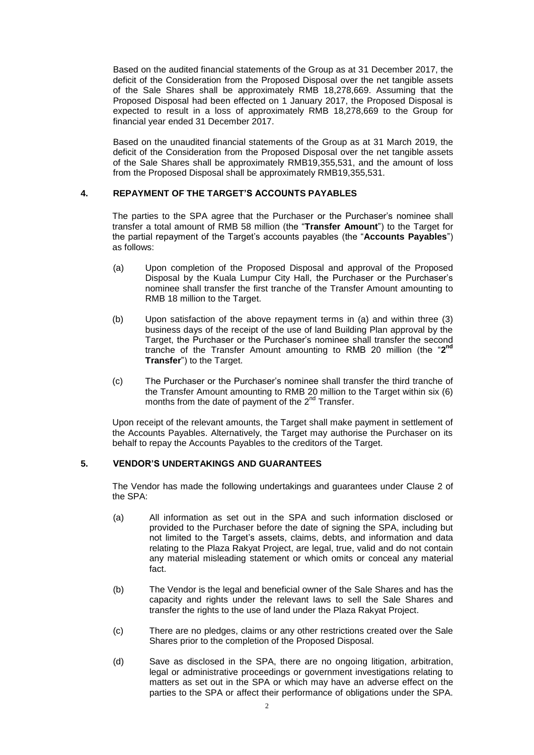Based on the audited financial statements of the Group as at 31 December 2017, the deficit of the Consideration from the Proposed Disposal over the net tangible assets of the Sale Shares shall be approximately RMB 18,278,669. Assuming that the Proposed Disposal had been effected on 1 January 2017, the Proposed Disposal is expected to result in a loss of approximately RMB 18,278,669 to the Group for financial year ended 31 December 2017.

Based on the unaudited financial statements of the Group as at 31 March 2019, the deficit of the Consideration from the Proposed Disposal over the net tangible assets of the Sale Shares shall be approximately RMB19,355,531, and the amount of loss from the Proposed Disposal shall be approximately RMB19,355,531.

# **4. REPAYMENT OF THE TARGET'S ACCOUNTS PAYABLES**

The parties to the SPA agree that the Purchaser or the Purchaser's nominee shall transfer a total amount of RMB 58 million (the "**Transfer Amount**") to the Target for the partial repayment of the Target's accounts payables (the "**Accounts Payables**") as follows:

- (a) Upon completion of the Proposed Disposal and approval of the Proposed Disposal by the Kuala Lumpur City Hall, the Purchaser or the Purchaser's nominee shall transfer the first tranche of the Transfer Amount amounting to RMB 18 million to the Target.
- (b) Upon satisfaction of the above repayment terms in (a) and within three (3) business days of the receipt of the use of land Building Plan approval by the Target, the Purchaser or the Purchaser's nominee shall transfer the second tranche of the Transfer Amount amounting to RMB 20 million (the "**2 nd Transfer**") to the Target.
- (c) The Purchaser or the Purchaser's nominee shall transfer the third tranche of the Transfer Amount amounting to RMB 20 million to the Target within six (6) months from the date of payment of the  $2^{nd}$  Transfer.

Upon receipt of the relevant amounts, the Target shall make payment in settlement of the Accounts Payables. Alternatively, the Target may authorise the Purchaser on its behalf to repay the Accounts Payables to the creditors of the Target.

# **5. VENDOR'S UNDERTAKINGS AND GUARANTEES**

The Vendor has made the following undertakings and guarantees under Clause 2 of the SPA:

- (a) All information as set out in the SPA and such information disclosed or provided to the Purchaser before the date of signing the SPA, including but not limited to the Target's assets, claims, debts, and information and data relating to the Plaza Rakyat Project, are legal, true, valid and do not contain any material misleading statement or which omits or conceal any material fact.
- (b) The Vendor is the legal and beneficial owner of the Sale Shares and has the capacity and rights under the relevant laws to sell the Sale Shares and transfer the rights to the use of land under the Plaza Rakyat Project.
- (c) There are no pledges, claims or any other restrictions created over the Sale Shares prior to the completion of the Proposed Disposal.
- (d) Save as disclosed in the SPA, there are no ongoing litigation, arbitration, legal or administrative proceedings or government investigations relating to matters as set out in the SPA or which may have an adverse effect on the parties to the SPA or affect their performance of obligations under the SPA.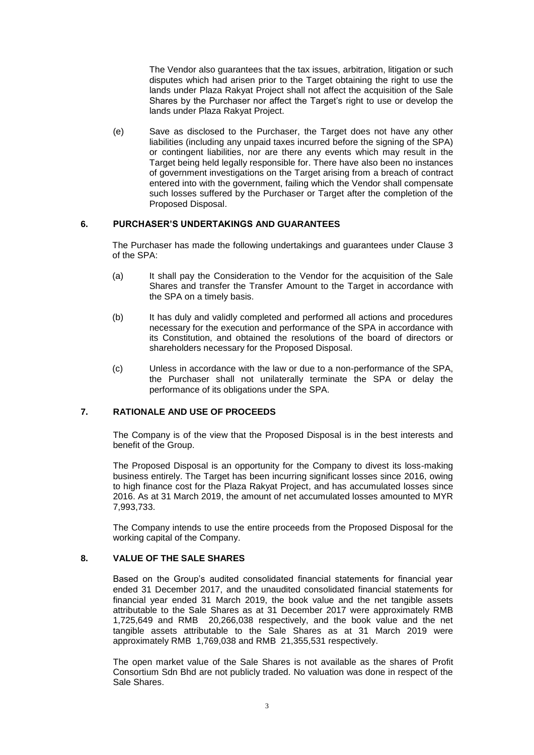The Vendor also guarantees that the tax issues, arbitration, litigation or such disputes which had arisen prior to the Target obtaining the right to use the lands under Plaza Rakyat Project shall not affect the acquisition of the Sale Shares by the Purchaser nor affect the Target's right to use or develop the lands under Plaza Rakyat Project.

(e) Save as disclosed to the Purchaser, the Target does not have any other liabilities (including any unpaid taxes incurred before the signing of the SPA) or contingent liabilities, nor are there any events which may result in the Target being held legally responsible for. There have also been no instances of government investigations on the Target arising from a breach of contract entered into with the government, failing which the Vendor shall compensate such losses suffered by the Purchaser or Target after the completion of the Proposed Disposal.

## **6. PURCHASER'S UNDERTAKINGS AND GUARANTEES**

The Purchaser has made the following undertakings and guarantees under Clause 3 of the SPA:

- (a) It shall pay the Consideration to the Vendor for the acquisition of the Sale Shares and transfer the Transfer Amount to the Target in accordance with the SPA on a timely basis.
- (b) It has duly and validly completed and performed all actions and procedures necessary for the execution and performance of the SPA in accordance with its Constitution, and obtained the resolutions of the board of directors or shareholders necessary for the Proposed Disposal.
- (c) Unless in accordance with the law or due to a non-performance of the SPA, the Purchaser shall not unilaterally terminate the SPA or delay the performance of its obligations under the SPA.

# **7. RATIONALE AND USE OF PROCEEDS**

The Company is of the view that the Proposed Disposal is in the best interests and benefit of the Group.

The Proposed Disposal is an opportunity for the Company to divest its loss-making business entirely. The Target has been incurring significant losses since 2016, owing to high finance cost for the Plaza Rakyat Project, and has accumulated losses since 2016. As at 31 March 2019, the amount of net accumulated losses amounted to MYR 7,993,733.

The Company intends to use the entire proceeds from the Proposed Disposal for the working capital of the Company.

# **8. VALUE OF THE SALE SHARES**

Based on the Group's audited consolidated financial statements for financial year ended 31 December 2017, and the unaudited consolidated financial statements for financial year ended 31 March 2019, the book value and the net tangible assets attributable to the Sale Shares as at 31 December 2017 were approximately RMB 1,725,649 and RMB 20,266,038 respectively, and the book value and the net tangible assets attributable to the Sale Shares as at 31 March 2019 were approximately RMB 1,769,038 and RMB 21,355,531 respectively.

The open market value of the Sale Shares is not available as the shares of Profit Consortium Sdn Bhd are not publicly traded. No valuation was done in respect of the Sale Shares.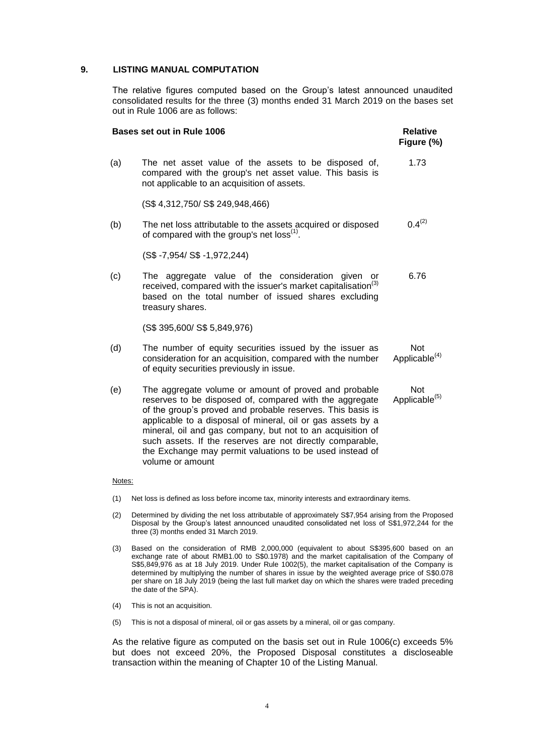## **9. LISTING MANUAL COMPUTATION**

The relative figures computed based on the Group's latest announced unaudited consolidated results for the three (3) months ended 31 March 2019 on the bases set out in Rule 1006 are as follows:

|     | <b>Bases set out in Rule 1006</b>                                                                                                                                                                                                                                                                                                                                                                                                                        | <b>Relative</b><br>Figure (%)           |
|-----|----------------------------------------------------------------------------------------------------------------------------------------------------------------------------------------------------------------------------------------------------------------------------------------------------------------------------------------------------------------------------------------------------------------------------------------------------------|-----------------------------------------|
| (a) | The net asset value of the assets to be disposed of,<br>compared with the group's net asset value. This basis is<br>not applicable to an acquisition of assets.                                                                                                                                                                                                                                                                                          | 1.73                                    |
|     | (S\$4,312,750/S\$249,948,466)                                                                                                                                                                                                                                                                                                                                                                                                                            |                                         |
| (b) | The net loss attributable to the assets acquired or disposed<br>of compared with the group's net loss <sup>(1)</sup> .                                                                                                                                                                                                                                                                                                                                   | $0.4^{(2)}$                             |
|     | (S\$-7,954/S\$-1,972,244)                                                                                                                                                                                                                                                                                                                                                                                                                                |                                         |
| (c) | The aggregate value of the consideration given<br>or<br>received, compared with the issuer's market capitalisation <sup>(3)</sup><br>based on the total number of issued shares excluding<br>treasury shares.                                                                                                                                                                                                                                            | 6.76                                    |
|     | (S\$ 395,600/ S\$ 5,849,976)                                                                                                                                                                                                                                                                                                                                                                                                                             |                                         |
| (d) | The number of equity securities issued by the issuer as<br>consideration for an acquisition, compared with the number<br>of equity securities previously in issue.                                                                                                                                                                                                                                                                                       | Not<br>Applicable <sup>(4)</sup>        |
| (e) | The aggregate volume or amount of proved and probable<br>reserves to be disposed of, compared with the aggregate<br>of the group's proved and probable reserves. This basis is<br>applicable to a disposal of mineral, oil or gas assets by a<br>mineral, oil and gas company, but not to an acquisition of<br>such assets. If the reserves are not directly comparable,<br>the Exchange may permit valuations to be used instead of<br>volume or amount | <b>Not</b><br>Applicable <sup>(5)</sup> |

#### Notes:

- (1) Net loss is defined as loss before income tax, minority interests and extraordinary items.
- (2) Determined by dividing the net loss attributable of approximately S\$7,954 arising from the Proposed Disposal by the Group's latest announced unaudited consolidated net loss of S\$1,972,244 for the three (3) months ended 31 March 2019.
- (3) Based on the consideration of RMB 2,000,000 (equivalent to about S\$395,600 based on an exchange rate of about RMB1.00 to S\$0.1978) and the market capitalisation of the Company of S\$5,849,976 as at 18 July 2019. Under Rule 1002(5), the market capitalisation of the Company is determined by multiplying the number of shares in issue by the weighted average price of S\$0.078 per share on 18 July 2019 (being the last full market day on which the shares were traded preceding the date of the SPA).
- (4) This is not an acquisition.
- (5) This is not a disposal of mineral, oil or gas assets by a mineral, oil or gas company.

As the relative figure as computed on the basis set out in Rule 1006(c) exceeds 5% but does not exceed 20%, the Proposed Disposal constitutes a discloseable transaction within the meaning of Chapter 10 of the Listing Manual.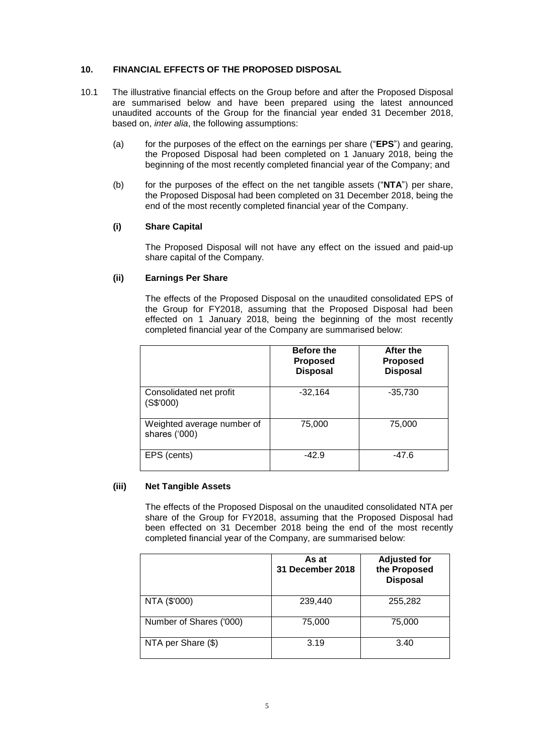## **10. FINANCIAL EFFECTS OF THE PROPOSED DISPOSAL**

- 10.1 The illustrative financial effects on the Group before and after the Proposed Disposal are summarised below and have been prepared using the latest announced unaudited accounts of the Group for the financial year ended 31 December 2018, based on, *inter alia*, the following assumptions:
	- (a) for the purposes of the effect on the earnings per share ("**EPS**") and gearing, the Proposed Disposal had been completed on 1 January 2018, being the beginning of the most recently completed financial year of the Company; and
	- (b) for the purposes of the effect on the net tangible assets ("**NTA**") per share, the Proposed Disposal had been completed on 31 December 2018, being the end of the most recently completed financial year of the Company.

## **(i) Share Capital**

The Proposed Disposal will not have any effect on the issued and paid-up share capital of the Company.

## **(ii) Earnings Per Share**

The effects of the Proposed Disposal on the unaudited consolidated EPS of the Group for FY2018, assuming that the Proposed Disposal had been effected on 1 January 2018, being the beginning of the most recently completed financial year of the Company are summarised below:

|                                             | <b>Before the</b><br><b>Proposed</b><br><b>Disposal</b> | After the<br><b>Proposed</b><br><b>Disposal</b> |
|---------------------------------------------|---------------------------------------------------------|-------------------------------------------------|
| Consolidated net profit<br>(S\$'000)        | $-32,164$                                               | $-35,730$                                       |
| Weighted average number of<br>shares ('000) | 75,000                                                  | 75,000                                          |
| EPS (cents)                                 | $-42.9$                                                 | $-47.6$                                         |

# **(iii) Net Tangible Assets**

The effects of the Proposed Disposal on the unaudited consolidated NTA per share of the Group for FY2018, assuming that the Proposed Disposal had been effected on 31 December 2018 being the end of the most recently completed financial year of the Company, are summarised below:

|                         | As at<br>31 December 2018 | <b>Adjusted for</b><br>the Proposed<br><b>Disposal</b> |
|-------------------------|---------------------------|--------------------------------------------------------|
| NTA (\$'000)            | 239,440                   | 255,282                                                |
| Number of Shares ('000) | 75,000                    | 75,000                                                 |
| NTA per Share (\$)      | 3.19                      | 3.40                                                   |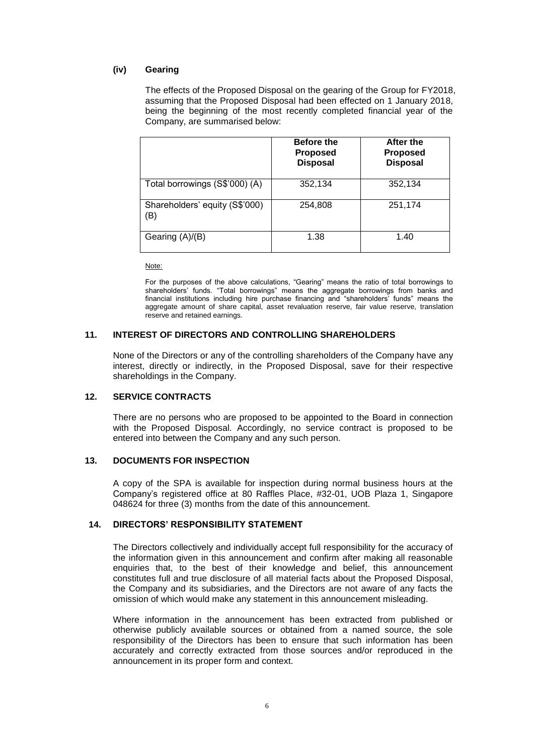# **(iv) Gearing**

The effects of the Proposed Disposal on the gearing of the Group for FY2018, assuming that the Proposed Disposal had been effected on 1 January 2018, being the beginning of the most recently completed financial year of the Company, are summarised below:

|                                       | <b>Before the</b><br><b>Proposed</b><br><b>Disposal</b> | After the<br><b>Proposed</b><br><b>Disposal</b> |
|---------------------------------------|---------------------------------------------------------|-------------------------------------------------|
| Total borrowings (S\$'000) (A)        | 352,134                                                 | 352,134                                         |
| Shareholders' equity (S\$'000)<br>(B) | 254,808                                                 | 251,174                                         |
| Gearing (A)/(B)                       | 1.38                                                    | 1.40                                            |

Note:

For the purposes of the above calculations, "Gearing" means the ratio of total borrowings to shareholders' funds. "Total borrowings" means the aggregate borrowings from banks and financial institutions including hire purchase financing and "shareholders' funds" means the aggregate amount of share capital, asset revaluation reserve, fair value reserve, translation reserve and retained earnings.

#### **11. INTEREST OF DIRECTORS AND CONTROLLING SHAREHOLDERS**

None of the Directors or any of the controlling shareholders of the Company have any interest, directly or indirectly, in the Proposed Disposal, save for their respective shareholdings in the Company.

## **12. SERVICE CONTRACTS**

There are no persons who are proposed to be appointed to the Board in connection with the Proposed Disposal. Accordingly, no service contract is proposed to be entered into between the Company and any such person.

#### **13. DOCUMENTS FOR INSPECTION**

A copy of the SPA is available for inspection during normal business hours at the Company's registered office at 80 Raffles Place, #32-01, UOB Plaza 1, Singapore 048624 for three (3) months from the date of this announcement.

# **14. DIRECTORS' RESPONSIBILITY STATEMENT**

The Directors collectively and individually accept full responsibility for the accuracy of the information given in this announcement and confirm after making all reasonable enquiries that, to the best of their knowledge and belief, this announcement constitutes full and true disclosure of all material facts about the Proposed Disposal, the Company and its subsidiaries, and the Directors are not aware of any facts the omission of which would make any statement in this announcement misleading.

Where information in the announcement has been extracted from published or otherwise publicly available sources or obtained from a named source, the sole responsibility of the Directors has been to ensure that such information has been accurately and correctly extracted from those sources and/or reproduced in the announcement in its proper form and context.